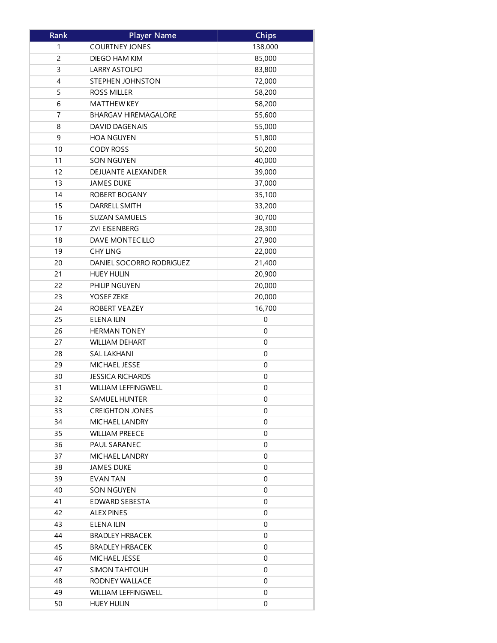| Rank | <b>Player Name</b>          | <b>Chips</b>     |
|------|-----------------------------|------------------|
| 1    | <b>COURTNEY JONES</b>       | 138,000          |
| 2    | DIEGO HAM KIM               | 85,000           |
| 3    | <b>LARRY ASTOLFO</b>        | 83,800           |
| 4    | <b>STEPHEN JOHNSTON</b>     | 72,000           |
| 5    | <b>ROSS MILLER</b>          | 58,200           |
| 6    | <b>MATTHEW KEY</b>          | 58,200           |
| 7    | <b>BHARGAV HIREMAGALORE</b> | 55,600           |
| 8    | DAVID DAGENAIS              | 55,000           |
| 9    | <b>HOA NGUYEN</b>           | 51,800           |
| 10   | <b>CODY ROSS</b>            | 50,200           |
| 11   | <b>SON NGUYEN</b>           | 40,000           |
| 12   | DEJUANTE ALEXANDER          | 39,000           |
| 13   | <b>JAMES DUKE</b>           | 37,000           |
| 14   | ROBERT BOGANY               | 35,100           |
| 15   | DARRELL SMITH               | 33,200           |
| 16   | <b>SUZAN SAMUELS</b>        | 30,700           |
| 17   | <b>ZVI EISENBERG</b>        | 28,300           |
| 18   | DAVE MONTECILLO             | 27,900           |
| 19   | <b>CHY LING</b>             | 22,000           |
| 20   | DANIEL SOCORRO RODRIGUEZ    | 21,400           |
| 21   | <b>HUEY HULIN</b>           | 20,900           |
| 22   | PHILIP NGUYEN               | 20,000           |
| 23   | YOSEF ZEKE                  | 20,000           |
| 24   | ROBERT VEAZEY               | 16,700           |
| 25   | <b>ELENA ILIN</b>           | 0                |
| 26   | <b>HERMAN TONEY</b>         | 0                |
| 27   | <b>WILLIAM DEHART</b>       | $\boldsymbol{0}$ |
| 28   | <b>SAL LAKHANI</b>          | 0                |
| 29   | MICHAEL JESSE               | 0                |
| 30   | <b>JESSICA RICHARDS</b>     | $\boldsymbol{0}$ |
| 31   | <b>WILLIAM LEFFINGWELL</b>  | 0                |
| 32   | <b>SAMUEL HUNTER</b>        | 0                |
| 33   | <b>CREIGHTON JONES</b>      | 0                |
| 34   | MICHAEL LANDRY              | 0                |
| 35   | <b>WILLIAM PREECE</b>       | 0                |
| 36   | PAUL SARANEC                | $\mathbf 0$      |
|      | MICHAEL LANDRY              |                  |
| 37   |                             | 0                |
| 38   | JAMES DUKE                  | 0                |
| 39   | <b>EVAN TAN</b>             | 0                |
| 40   | SON NGUYEN                  | 0                |
| 41   | <b>EDWARD SEBESTA</b>       | 0                |
| 42   | ALEX PINES                  | 0                |
| 43   | ELENA ILIN                  | 0                |
| 44   | <b>BRADLEY HRBACEK</b>      | 0                |
| 45   | <b>BRADLEY HRBACEK</b>      | 0                |
| 46   | MICHAEL JESSE               | 0                |
| 47   | <b>SIMON TAHTOUH</b>        | 0                |
| 48   | RODNEY WALLACE              | 0                |
| 49   | <b>WILLIAM LEFFINGWELL</b>  | 0                |
| 50   | <b>HUEY HULIN</b>           | 0                |